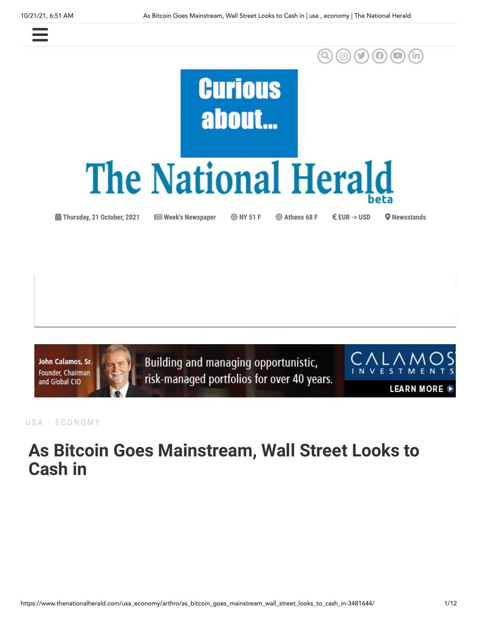





U S A - E C O N O M Y

# **As Bitcoin Goes Mainstream, Wall Street Looks to Cash in**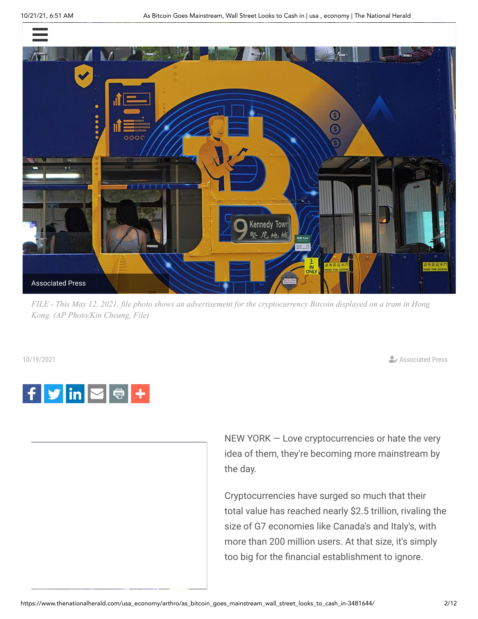

*FILE - This May 12, 2021, file photo shows an advertisement for the cryptocurrency Bitcoin displayed on a tram in Hong Kong. (AP Photo/Kin Cheung, File)*

10/19/2021 Αssociated Press



NEW YORK — Love cryptocurrencies or hate the very idea of them, they're becoming more mainstream by the day.

Cryptocurrencies have surged so much that their total value has reached nearly \$2.5 trillion, rivaling the size of G7 economies like Canada's and Italy's, with more than 200 million users. At that size, it's simply too big for the financial establishment to ignore.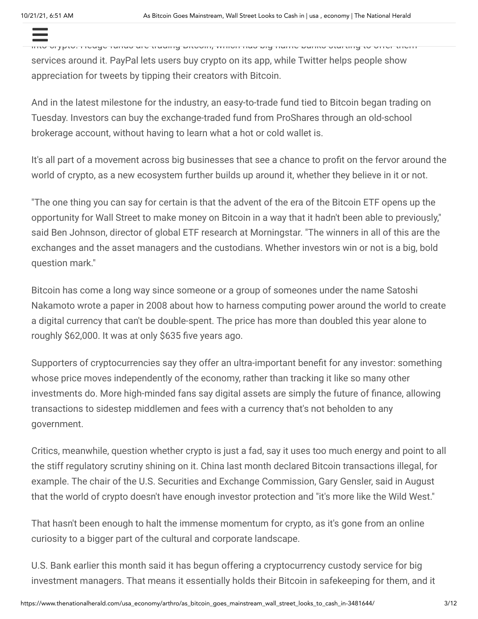into crypto. Hedge funds are trading Bitcoin, which has big-name banks starting to offer them services around it. PayPal lets users buy crypto on its app, while Twitter helps people show appreciation for tweets by tipping their creators with Bitcoin. 

And in the latest milestone for the industry, an easy-to-trade fund tied to Bitcoin began trading on Tuesday. Investors can buy the exchange-traded fund from ProShares through an old-school brokerage account, without having to learn what a hot or cold wallet is.

First that cater that cater to the world's wealthiest families are increasingly put their fortunes of the  $\alpha$ 

It's all part of a movement across big businesses that see a chance to profit on the fervor around the world of crypto, as a new ecosystem further builds up around it, whether they believe in it or not.

"The one thing you can say for certain is that the advent of the era of the Bitcoin ETF opens up the opportunity for Wall Street to make money on Bitcoin in a way that it hadn't been able to previously," said Ben Johnson, director of global ETF research at Morningstar. "The winners in all of this are the exchanges and the asset managers and the custodians. Whether investors win or not is a big, bold question mark."

Bitcoin has come a long way since someone or a group of someones under the name Satoshi Nakamoto wrote a paper in 2008 about how to harness computing power around the world to create a digital currency that can't be double-spent. The price has more than doubled this year alone to roughly \$62,000. It was at only \$635 five years ago.

Supporters of cryptocurrencies say they offer an ultra-important benefit for any investor: something whose price moves independently of the economy, rather than tracking it like so many other investments do. More high-minded fans say digital assets are simply the future of finance, allowing transactions to sidestep middlemen and fees with a currency that's not beholden to any government.

Critics, meanwhile, question whether crypto is just a fad, say it uses too much energy and point to all the stiff regulatory scrutiny shining on it. China last month declared Bitcoin transactions illegal, for example. The chair of the U.S. Securities and Exchange Commission, Gary Gensler, said in August that the world of crypto doesn't have enough investor protection and "it's more like the Wild West."

That hasn't been enough to halt the immense momentum for crypto, as it's gone from an online curiosity to a bigger part of the cultural and corporate landscape.

U.S. Bank earlier this month said it has begun offering a cryptocurrency custody service for big investment managers. That means it essentially holds their Bitcoin in safekeeping for them, and it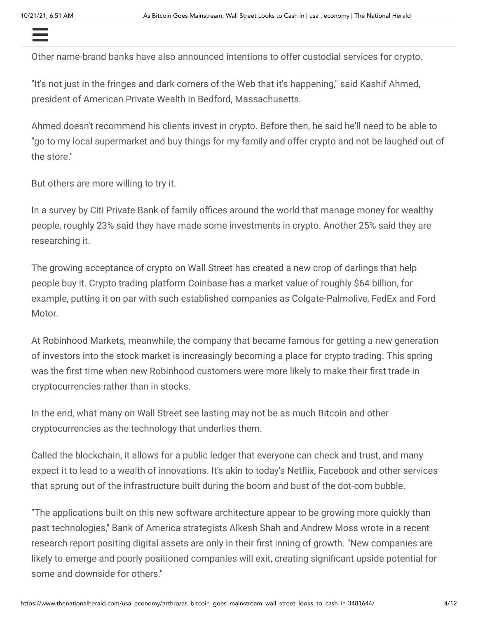expects to offer support for other coins so 

Other name-brand banks have also announced intentions to offer custodial services for crypto.

"It's not just in the fringes and dark corners of the Web that it's happening," said Kashif Ahmed, president of American Private Wealth in Bedford, Massachusetts.

Ahmed doesn't recommend his clients invest in crypto. Before then, he said he'll need to be able to "go to my local supermarket and buy things for my family and offer crypto and not be laughed out of the store."

But others are more willing to try it.

In a survey by Citi Private Bank of family offices around the world that manage money for wealthy people, roughly 23% said they have made some investments in crypto. Another 25% said they are researching it.

The growing acceptance of crypto on Wall Street has created a new crop of darlings that help people buy it. Crypto trading platform Coinbase has a market value of roughly \$64 billion, for example, putting it on par with such established companies as Colgate-Palmolive, FedEx and Ford Motor.

At Robinhood Markets, meanwhile, the company that became famous for getting a new generation of investors into the stock market is increasingly becoming a place for crypto trading. This spring was the first time when new Robinhood customers were more likely to make their first trade in cryptocurrencies rather than in stocks.

In the end, what many on Wall Street see lasting may not be as much Bitcoin and other cryptocurrencies as the technology that underlies them.

Called the blockchain, it allows for a public ledger that everyone can check and trust, and many expect it to lead to a wealth of innovations. It's akin to today's Netflix, Facebook and other services that sprung out of the infrastructure built during the boom and bust of the dot-com bubble.

"The applications built on this new software architecture appear to be growing more quickly than past technologies," Bank of America strategists Alkesh Shah and Andrew Moss wrote in a recent research report positing digital assets are only in their first inning of growth. "New companies are likely to emerge and poorly positioned companies will exit, creating significant upside potential for some and downside for others."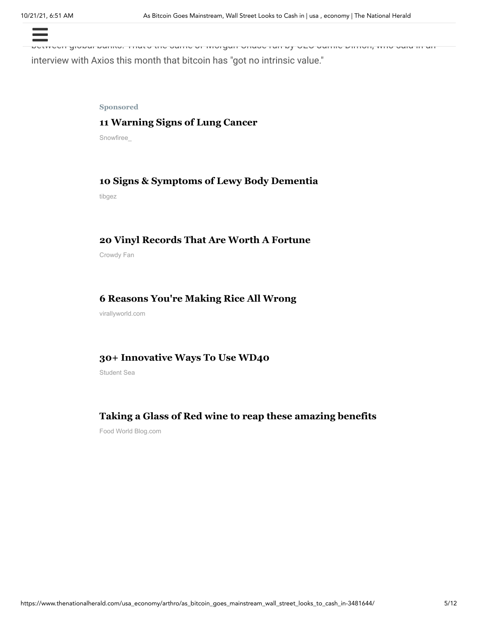between global banks. That's the same JPMorgan Chase run by CEO Jamie Dimon, who said in an interview with Axios this month that bitcoin has "got no intrinsic value."

 $\equiv$  , is already using blockchain technology to improve fund transfers to improve fund transfers to improve

#### **Sponsored**

#### **[11 Warning Signs of Lung Cancer](https://snowfiree.com/9-uncommon-signs-of-lung-cancer-you-need-to-know-about/?utm_source=taboola&utm_medium=referral#tblciGiD8KiT5IGDyVIA1dniVrkdImgjArsiFAe-bG8Tj89cWGiDJvlEotfK917mchvBS)**

Snowfiree\_

#### **[10 Signs & Symptoms of Lewy Body Dementia](https://tibgez.com/2020/06/26/07/30/53/1714/10-symptoms-of-lewy-body-dementia/health/tbge/?utm_source=Taboola&utm_medium=Copy+of+Copy+of+Copy+of+dementia+-+tibg-+usa&utm_campaign=1181699&tblci=GiD8KiT5IGDyVIA1dniVrkdImgjArsiFAe-bG8Tj89cWGiD401EoyPaC__al7eKfAQ#tblciGiD8KiT5IGDyVIA1dniVrkdImgjArsiFAe-bG8Tj89cWGiD401EoyPaC__al7eKfAQ)**

tibgez

#### **[20 Vinyl Records That Are Worth A Fortune](https://rfvtgb.crowdyfan.com/worldwide/record-collectors-guide-charlie-ta?utm_medium=taboola&utm_source=taboola&utm_campaign=ta-cf-record-des-1-us-ns-21051d&utm_term=unknown-site-on-disqus-network&utm_bid=mZ1RoQ3JNEylAF4jXQ4hHitwG-256pv5OX2iat8B8a4=)**

Crowdy Fan

#### **[6 Reasons You're Making Rice All Wrong](https://virallyworld.com/check-out-these-6-common-mistakes-people-do-when-cooking-rice-and-instantly-improve-your-cooking/?utm_source=unknown-site-on-disqus-network&utm_medium=thenationalherald.com&utm_campaign=OTH-ADV21-check-out-these-6-common-mistakes&tblci=GiD8KiT5IGDyVIA1dniVrkdImgjArsiFAe-bG8Tj89cWGiC031Io9Ne-w6-L8o-rAQ#tblciGiD8KiT5IGDyVIA1dniVrkdImgjArsiFAe-bG8Tj89cWGiC031Io9Ne-w6-L8o-rAQ)**

virallyworld.com

#### **[30+ Innovative Ways To Use WD40](https://rfvtgb.studentsea.com/worldwide/wd40?utm_medium=taboola&utm_source=taboola&utm_campaign=ta-ss-wd40-nc1-pv-s-des-us-kp-06101&utm_term=unknown-site-on-disqus-network&utm_bid=0PwWgnaUwQ_WBVINe5SKA9jrC4853tGzSkrgy9g841Y=)**

Student Sea

#### **[Taking a Glass of Red wine to reap these amazing benefits](https://foodworldblog.com/15-unbelievable-health-benefits-of-drinking-wine/?utm_source=taboola&utm_term=unknown-site-on-disqus-network_1181699&utm_content=3018254663&utm_medium=referral&utm_campaign=DBWineHealth1SB-WW-DTM-FWB-TB#tblciGiD8KiT5IGDyVIA1dniVrkdImgjArsiFAe-bG8Tj89cWGiDcuVEov-GUgee1hNIn)**

Food World Blog.com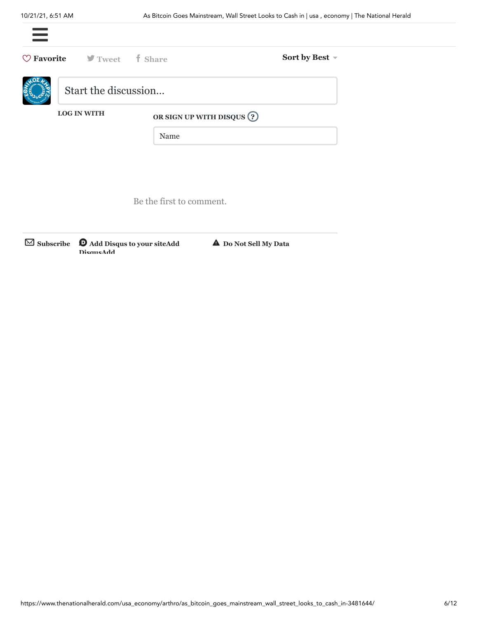| $\heartsuit$ <b>Favorite</b> $\qquad \qquad$ <b>F</b> Tweet <b>f</b> Share |                          | Sort by Best ~ |
|----------------------------------------------------------------------------|--------------------------|----------------|
| Start the discussion                                                       |                          |                |
| <b>LOG IN WITH</b>                                                         | OR SIGN UP WITH DISQUS ? |                |
|                                                                            | Name                     |                |
|                                                                            |                          |                |

Be the first to comment.

✉ **Subscribe [Add Disqus to your siteAdd](https://disqus.com/) DisqusAdd**

 $\bullet$  Add Disqus to your siteAdd **A** [Do Not Sell My Data](https://disqus.com/data-sharing-settings/)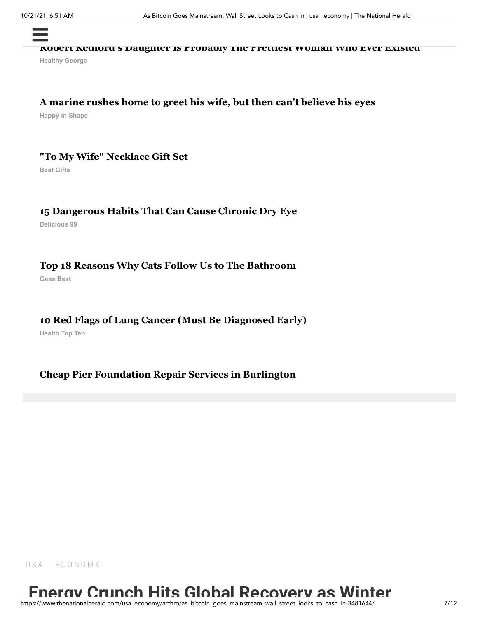**[Robert Redford's Daughter Is Probably The Prettiest Woman Who Ever Existed](http://healthygeorge.com/relaxation/celebrity-kids-redford?utm_source=taboola&utm_medium=unknown-site-on-disqus-network&utm_campaign=3897251&utm_term=Robert+Redford%27s+Daughter+Is+Probably+The+Prettiest+Woman+Who+Ever+Existed&utm_content=http%3A%2F%2Fcdn.taboola.com%2Flibtrc%2Fstatic%2Fthumbnails%2F44b7dce1241aece1355a0afd2276f439.jpg&ts=2021-10-21+10%3A50%3A27&tbv=4mOhPL12yxun3tRLRe-zF0m7PKwNZCB9Rt6r0oTFmgc=&pcl=1)** 

**Healthy George**

**Sponsored**

#### **[A marine rushes home to greet his wife, but then can't believe his eyes](https://www.happyinshape.com/fun/marine-rushes-home-wife-surprised/?utm_campaign=tbfaprv6&utm_source=Taboola&utm_medium=native&utm_term=unknown-site-on-disqus-network&tclid=GiD8KiT5IGDyVIA1dniVrkdImgjArsiFAe-bG8Tj89cWGiCl4FEoxIC5lO-IjuBl&tblci=GiD8KiT5IGDyVIA1dniVrkdImgjArsiFAe-bG8Tj89cWGiCl4FEoxIC5lO-IjuBl#tblciGiD8KiT5IGDyVIA1dniVrkdImgjArsiFAe-bG8Tj89cWGiCl4FEoxIC5lO-IjuBl)**

**Happy in Shape**

#### **["To My Wife" Necklace Gift Set](https://shineon.com/products/gifts-13-wife1?variant=39246362312768&utm_source=taboola&utm_medium=referral&tblci=GiD8KiT5IGDyVIA1dniVrkdImgjArsiFAe-bG8Tj89cWGiDLplIomsGvuZvA-MZl#tblciGiD8KiT5IGDyVIA1dniVrkdImgjArsiFAe-bG8Tj89cWGiDLplIomsGvuZvA-MZl)**

**Best Gifts**

#### **[15 Dangerous Habits That Can Cause Chronic Dry Eye](https://c.adsco.re/d?tblci=GiD8KiT5IGDyVIA1dniVrkdImgjArsiFAe-bG8Tj89cWGiCs5lIo0e_Ov_Dt0t5o#QvRzAAAAAAAAi8kXumckl3K-qrMnQc3PdOgcpeo,1181699,3,,AALwThvZIuKxPcs6LdW3FjU4snGewXi4Su_x9ZfrrWZjtCSefrgO_u7bMGA9E1R75E8jz4pMqzvX5zhVPXvTLbfMtSdVlkb7H5uhJIxjdLoWndozSoekt3l6WXZh18v4M0hQnxOdmMgZNpZ70jcR3PoIi0vKX0pLj8JSBBTkeIxyooC3DRktFNEOjO0KxIPBYfiqylU7zi747X0sF_p1xsee?campaign_name=Dry+Eye+-+US+-+DK+-+adv+-+62&site_id=%7Bside_id%7D)**

**Delicious 99**

#### **[Top 18 Reasons Why Cats Follow Us to The Bathroom](https://geasbest.com/bathroom/?utm_source=comptemina&utm_medium=referral&tblci=GiD8KiT5IGDyVIA1dniVrkdImgjArsiFAe-bG8Tj89cWGiCdhk8ojdGHp-fRssc2#tblciGiD8KiT5IGDyVIA1dniVrkdImgjArsiFAe-bG8Tj89cWGiCdhk8ojdGHp-fRssc2)**

**Geas Best**

#### **[10 Red Flags of Lung Cancer \(Must Be Diagnosed Early\)](https://healthtopten.com/lung-cancer-signs/?utm_medium=email&utm_source=newsletter#tblciGiD8KiT5IGDyVIA1dniVrkdImgjArsiFAe-bG8Tj89cWGiCotlIo6_b9lfOF473MAQ)**

**Health Top Ten**

### **[Cheap Pier Foundation Repair Services in Burlington](http://fetch-structure.fyi/?ref=taboola-unknown-site-on-disqus-network&sub_id=dmio-sc6-str-sept&compkey=Pier%20Foundation%20Repair%20%7B%7Bcity%7D%7D&tbid=1163401&tbland=Land&tbserp=Search&tbclick=Gadclick&rskey=Cheap+Pier+Foundation+Repair+Services+in+Burlington#tblciGiD8KiT5IGDyVIA1dniVrkdImgjArsiFAe-bG8Tj89cWGiCJgUco1Jyb6-So081g)**

U S A - E C O N O M Y

## **Energy Crunch Hits Global Recovery as Winter**

https://www.thenationalherald.com/usa\_economy/arthro/as\_bitcoin\_goes\_mainstream\_wall\_street\_looks\_to\_cash\_in-3481644/ 7/12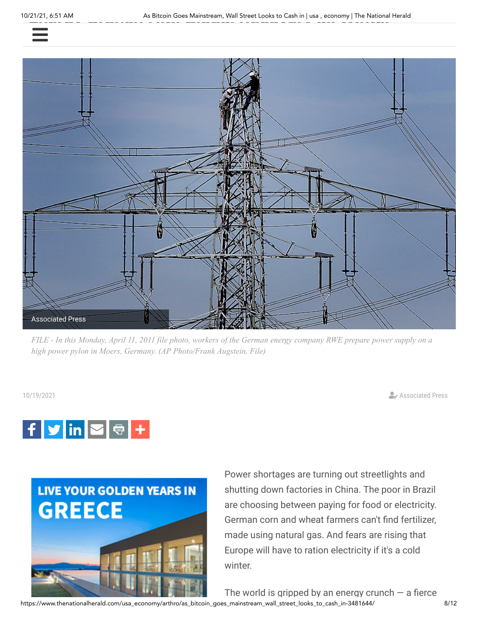## **Approaches**



*FILE - In this Monday, April 11, 2011 file photo, workers of the German energy company RWE prepare power supply on a high power pylon in Moers, Germany. (AP Photo/Frank Augstein, File)*

10/19/2021 Αssociated Press





Power shortages are turning out streetlights and shutting down factories in China. The poor in Brazil are choosing between paying for food or electricity. German corn and wheat farmers can't find fertilizer, made using natural gas. And fears are rising that Europe will have to ration electricity if it's a cold winter.

The world is gripped by an energy crunch  $-$  a fierce

https://www.thenationalherald.com/usa\_economy/arthro/as\_bitcoin\_goes\_mainstream\_wall\_street\_looks\_to\_cash\_in-3481644/ 8/12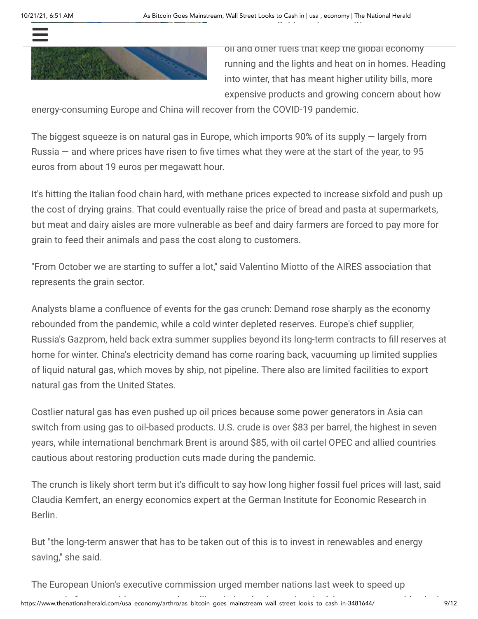

oil and other fuels that keep the global economy running and the lights and heat on in homes. Heading into winter, that has meant higher utility bills, more expensive products and growing concern about how

energy-consuming Europe and China will recover from the COVID-19 pandemic.

The biggest squeeze is on natural gas in Europe, which imports 90% of its supply — largely from Russia  $-$  and where prices have risen to five times what they were at the start of the year, to 95 euros from about 19 euros per megawatt hour.

It's hitting the Italian food chain hard, with methane prices expected to increase sixfold and push up the cost of drying grains. That could eventually raise the price of bread and pasta at supermarkets, but meat and dairy aisles are more vulnerable as beef and dairy farmers are forced to pay more for grain to feed their animals and pass the cost along to customers.

"From October we are starting to suffer a lot,'' said Valentino Miotto of the AIRES association that represents the grain sector.

Analysts blame a confluence of events for the gas crunch: Demand rose sharply as the economy rebounded from the pandemic, while a cold winter depleted reserves. Europe's chief supplier, Russia's Gazprom, held back extra summer supplies beyond its long-term contracts to fill reserves at home for winter. China's electricity demand has come roaring back, vacuuming up limited supplies of liquid natural gas, which moves by ship, not pipeline. There also are limited facilities to export natural gas from the United States.

Costlier natural gas has even pushed up oil prices because some power generators in Asia can switch from using gas to oil-based products. U.S. crude is over \$83 per barrel, the highest in seven years, while international benchmark Brent is around \$85, with oil cartel OPEC and allied countries cautious about restoring production cuts made during the pandemic.

The crunch is likely short term but it's difficult to say how long higher fossil fuel prices will last, said Claudia Kemfert, an energy economics expert at the German Institute for Economic Research in Berlin.

But "the long-term answer that has to be taken out of this is to invest in renewables and energy saving," she said.

ا نسبت المسابق المسابق المسابق المسابق المسابق المسابق المسابق المسابق المسابق المسابق المسابق المسابق المسابق<br>9/12 قطع المسابق المسابق المسابق المسابق المسابق المسابق المسابق المسابق المسابق المسابق المسابق المسابق المسا The European Union's executive commission urged member nations last week to speed up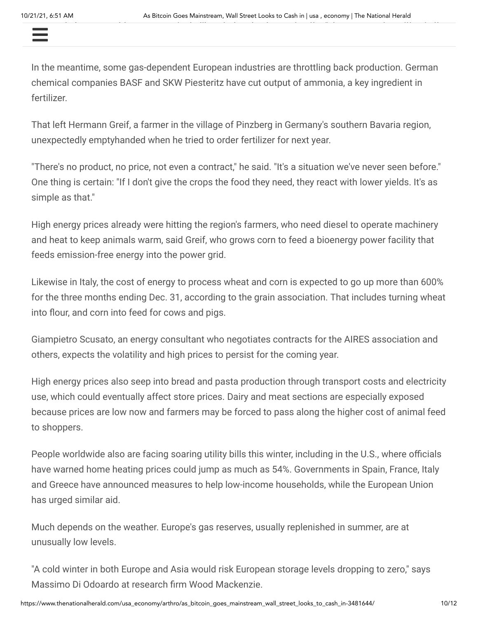approvals for renewable energy projects like wind and solar, saying the "clean energy transition" is the "clean best insurance against price shocks in the future and needs to be accelerated." 

In the meantime, some gas-dependent European industries are throttling back production. German chemical companies BASF and SKW Piesteritz have cut output of ammonia, a key ingredient in fertilizer.

That left Hermann Greif, a farmer in the village of Pinzberg in Germany's southern Bavaria region, unexpectedly emptyhanded when he tried to order fertilizer for next year.

"There's no product, no price, not even a contract," he said. "It's a situation we've never seen before." One thing is certain: "If I don't give the crops the food they need, they react with lower yields. It's as simple as that."

High energy prices already were hitting the region's farmers, who need diesel to operate machinery and heat to keep animals warm, said Greif, who grows corn to feed a bioenergy power facility that feeds emission-free energy into the power grid.

Likewise in Italy, the cost of energy to process wheat and corn is expected to go up more than 600% for the three months ending Dec. 31, according to the grain association. That includes turning wheat into flour, and corn into feed for cows and pigs.

Giampietro Scusato, an energy consultant who negotiates contracts for the AIRES association and others, expects the volatility and high prices to persist for the coming year.

High energy prices also seep into bread and pasta production through transport costs and electricity use, which could eventually affect store prices. Dairy and meat sections are especially exposed because prices are low now and farmers may be forced to pass along the higher cost of animal feed to shoppers.

People worldwide also are facing soaring utility bills this winter, including in the U.S., where officials have warned home heating prices could jump as much as 54%. Governments in Spain, France, Italy and Greece have announced measures to help low-income households, while the European Union has urged similar aid.

Much depends on the weather. Europe's gas reserves, usually replenished in summer, are at unusually low levels.

"A cold winter in both Europe and Asia would risk European storage levels dropping to zero," says Massimo Di Odoardo at research firm Wood Mackenzie.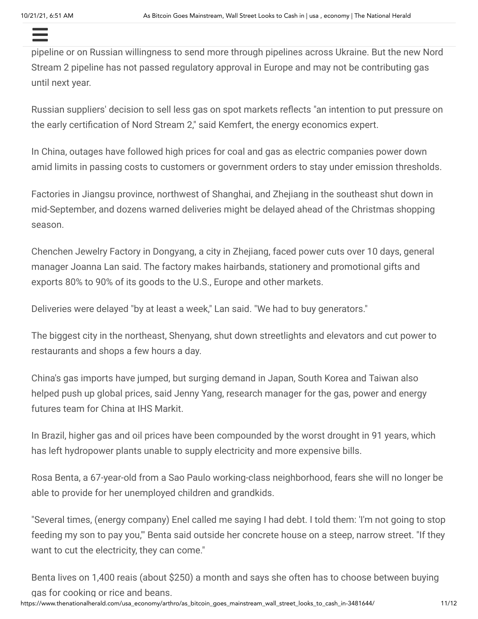pipeline or on Russian willingness to send more through pipelines across Ukraine. But the new Nord Stream 2 pipeline has not passed regulatory approval in Europe and may not be contributing gas until next year.

That would leave Europe dependent on additional natural gas from a just-completed Russian

Russian suppliers' decision to sell less gas on spot markets reflects "an intention to put pressure on the early certification of Nord Stream 2," said Kemfert, the energy economics expert.

In China, outages have followed high prices for coal and gas as electric companies power down amid limits in passing costs to customers or government orders to stay under emission thresholds.

Factories in Jiangsu province, northwest of Shanghai, and Zhejiang in the southeast shut down in mid-September, and dozens warned deliveries might be delayed ahead of the Christmas shopping season.

Chenchen Jewelry Factory in Dongyang, a city in Zhejiang, faced power cuts over 10 days, general manager Joanna Lan said. The factory makes hairbands, stationery and promotional gifts and exports 80% to 90% of its goods to the U.S., Europe and other markets.

Deliveries were delayed "by at least a week," Lan said. "We had to buy generators."

The biggest city in the northeast, Shenyang, shut down streetlights and elevators and cut power to restaurants and shops a few hours a day.

China's gas imports have jumped, but surging demand in Japan, South Korea and Taiwan also helped push up global prices, said Jenny Yang, research manager for the gas, power and energy futures team for China at IHS Markit.

In Brazil, higher gas and oil prices have been compounded by the worst drought in 91 years, which has left hydropower plants unable to supply electricity and more expensive bills.

Rosa Benta, a 67-year-old from a Sao Paulo working-class neighborhood, fears she will no longer be able to provide for her unemployed children and grandkids.

"Several times, (energy company) Enel called me saying I had debt. I told them: 'I'm not going to stop feeding my son to pay you," Benta said outside her concrete house on a steep, narrow street. "If they want to cut the electricity, they can come."

Benta lives on 1,400 reais (about \$250) a month and says she often has to choose between buying gas for cooking or rice and beans.

https://www.thenationalherald.com/usa\_economy/arthro/as\_bitcoin\_goes\_mainstream\_wall\_street\_looks\_to\_cash\_in-3481644/ 11/12